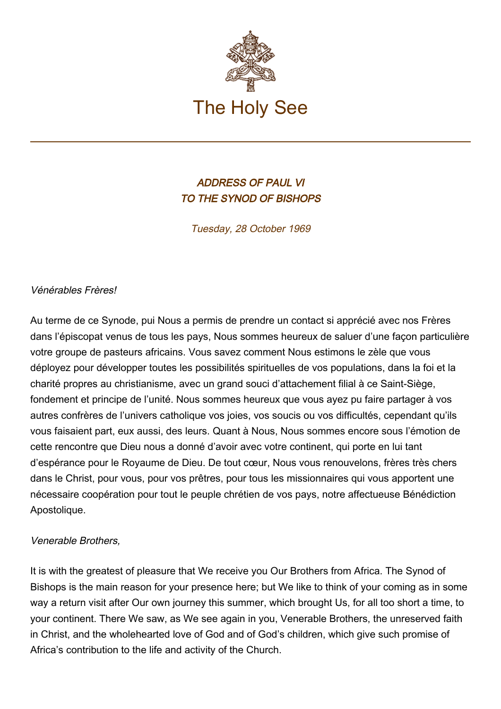

## ADDRESS OF PAUL VI TO THE SYNOD OF BISHOPS

Tuesday, 28 October 1969

## Vénérables Frères!

Au terme de ce Synode, pui Nous a permis de prendre un contact si apprécié avec nos Frères dans l'épiscopat venus de tous les pays, Nous sommes heureux de saluer d'une façon particulière votre groupe de pasteurs africains. Vous savez comment Nous estimons le zèle que vous déployez pour développer toutes les possibilités spirituelles de vos populations, dans la foi et la charité propres au christianisme, avec un grand souci d'attachement filial à ce Saint-Siège, fondement et principe de l'unité. Nous sommes heureux que vous ayez pu faire partager à vos autres confrères de l'univers catholique vos joies, vos soucis ou vos difficultés, cependant qu'ils vous faisaient part, eux aussi, des leurs. Quant à Nous, Nous sommes encore sous l'émotion de cette rencontre que Dieu nous a donné d'avoir avec votre continent, qui porte en lui tant d'espérance pour le Royaume de Dieu. De tout cœur, Nous vous renouvelons, frères très chers dans le Christ, pour vous, pour vos prêtres, pour tous les missionnaires qui vous apportent une nécessaire coopération pour tout le peuple chrétien de vos pays, notre affectueuse Bénédiction Apostolique.

## Venerable Brothers,

It is with the greatest of pleasure that We receive you Our Brothers from Africa. The Synod of Bishops is the main reason for your presence here; but We like to think of your coming as in some way a return visit after Our own journey this summer, which brought Us, for all too short a time, to your continent. There We saw, as We see again in you, Venerable Brothers, the unreserved faith in Christ, and the wholehearted love of God and of God's children, which give such promise of Africa's contribution to the life and activity of the Church.